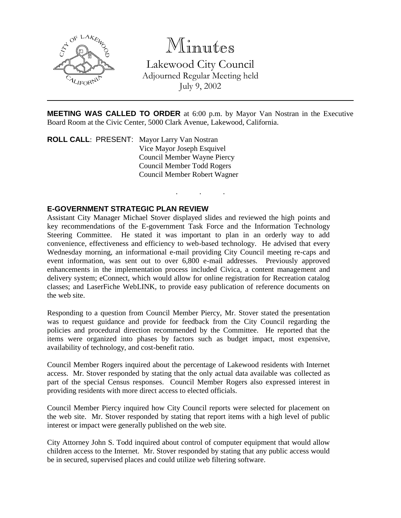

Minutes

Lakewood City Council Adjourned Regular Meeting held July 9, 2002

**MEETING WAS CALLED TO ORDER** at 6:00 p.m. by Mayor Van Nostran in the Executive Board Room at the Civic Center, 5000 Clark Avenue, Lakewood, California.

. . .

**ROLL CALL**: PRESENT: Mayor Larry Van Nostran Vice Mayor Joseph Esquivel Council Member Wayne Piercy Council Member Todd Rogers Council Member Robert Wagner

# **E-GOVERNMENT STRATEGIC PLAN REVIEW**

Assistant City Manager Michael Stover displayed slides and reviewed the high points and key recommendations of the E-government Task Force and the Information Technology Steering Committee. He stated it was important to plan in an orderly way to add convenience, effectiveness and efficiency to web-based technology. He advised that every Wednesday morning, an informational e-mail providing City Council meeting re-caps and event information, was sent out to over 6,800 e-mail addresses. Previously approved enhancements in the implementation process included Civica, a content management and delivery system; eConnect, which would allow for online registration for Recreation catalog classes; and LaserFiche WebLINK, to provide easy publication of reference documents on the web site.

Responding to a question from Council Member Piercy, Mr. Stover stated the presentation was to request guidance and provide for feedback from the City Council regarding the policies and procedural direction recommended by the Committee. He reported that the items were organized into phases by factors such as budget impact, most expensive, availability of technology, and cost-benefit ratio.

Council Member Rogers inquired about the percentage of Lakewood residents with Internet access. Mr. Stover responded by stating that the only actual data available was collected as part of the special Census responses. Council Member Rogers also expressed interest in providing residents with more direct access to elected officials.

Council Member Piercy inquired how City Council reports were selected for placement on the web site. Mr. Stover responded by stating that report items with a high level of public interest or impact were generally published on the web site.

City Attorney John S. Todd inquired about control of computer equipment that would allow children access to the Internet. Mr. Stover responded by stating that any public access would be in secured, supervised places and could utilize web filtering software.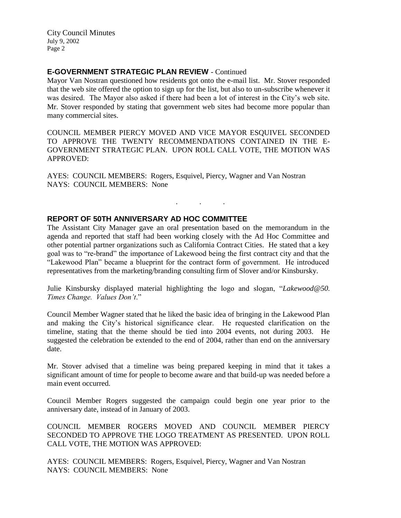City Council Minutes July 9, 2002 Page 2

# **E-GOVERNMENT STRATEGIC PLAN REVIEW** - Continued

Mayor Van Nostran questioned how residents got onto the e-mail list. Mr. Stover responded that the web site offered the option to sign up for the list, but also to un-subscribe whenever it was desired. The Mayor also asked if there had been a lot of interest in the City's web site. Mr. Stover responded by stating that government web sites had become more popular than many commercial sites.

COUNCIL MEMBER PIERCY MOVED AND VICE MAYOR ESQUIVEL SECONDED TO APPROVE THE TWENTY RECOMMENDATIONS CONTAINED IN THE E-GOVERNMENT STRATEGIC PLAN. UPON ROLL CALL VOTE, THE MOTION WAS APPROVED:

AYES: COUNCIL MEMBERS: Rogers, Esquivel, Piercy, Wagner and Van Nostran NAYS: COUNCIL MEMBERS: None

## **REPORT OF 50TH ANNIVERSARY AD HOC COMMITTEE**

The Assistant City Manager gave an oral presentation based on the memorandum in the agenda and reported that staff had been working closely with the Ad Hoc Committee and other potential partner organizations such as California Contract Cities. He stated that a key goal was to "re-brand" the importance of Lakewood being the first contract city and that the "Lakewood Plan" became a blueprint for the contract form of government. He introduced representatives from the marketing/branding consulting firm of Slover and/or Kinsbursky.

. . .

Julie Kinsbursky displayed material highlighting the logo and slogan, "*Lakewood@50. Times Change. Values Don't*."

Council Member Wagner stated that he liked the basic idea of bringing in the Lakewood Plan and making the City's historical significance clear. He requested clarification on the timeline, stating that the theme should be tied into 2004 events, not during 2003. He suggested the celebration be extended to the end of 2004, rather than end on the anniversary date.

Mr. Stover advised that a timeline was being prepared keeping in mind that it takes a significant amount of time for people to become aware and that build-up was needed before a main event occurred.

Council Member Rogers suggested the campaign could begin one year prior to the anniversary date, instead of in January of 2003.

COUNCIL MEMBER ROGERS MOVED AND COUNCIL MEMBER PIERCY SECONDED TO APPROVE THE LOGO TREATMENT AS PRESENTED. UPON ROLL CALL VOTE, THE MOTION WAS APPROVED:

AYES: COUNCIL MEMBERS: Rogers, Esquivel, Piercy, Wagner and Van Nostran NAYS: COUNCIL MEMBERS: None